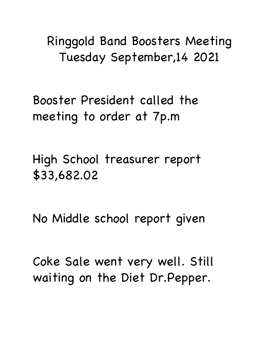Ringgold Band Boosters Meeting Tuesday September,14 2021

Booster President called the meeting to order at 7p.m

High School treasurer report \$33,682.02

No Middle school report given

Coke Sale went very well. Still waiting on the Diet Dr.Pepper.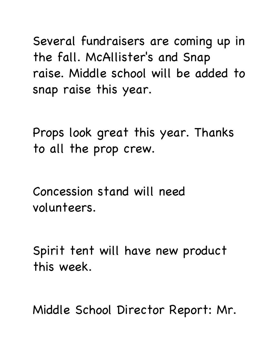Several fundraisers are coming up in the fall. McAllister's and Snap raise. Middle school will be added to snap raise this year.

Props look great this year. Thanks to all the prop crew.

Concession stand will need volunteers.

Spirit tent will have new product this week.

Middle School Director Report: Mr.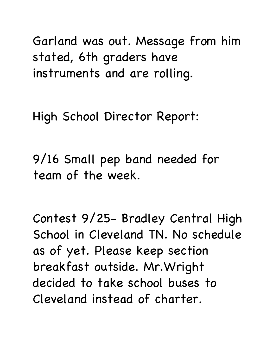Garland was out. Message from him stated, 6th graders have instruments and are rolling.

High School Director Report:

9/16 Small pep band needed for team of the week.

Contest 9/25- Bradley Central High School in Cleveland TN. No schedule as of yet. Please keep section breakfast outside. Mr.Wright decided to take school buses to Cleveland instead of charter.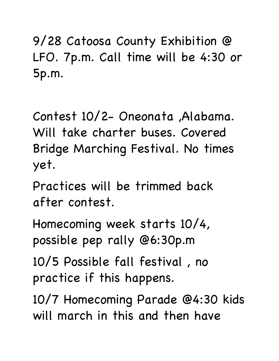9/28 Catoosa County Exhibition @ LFO. 7p.m. Call time will be 4:30 or 5p.m.

Contest 10/2- Oneonata ,Alabama. Will take charter buses. Covered Bridge Marching Festival. No times yet.

Practices will be trimmed back after contest.

Homecoming week starts 10/4, possible pep rally @6:30p.m

10/5 Possible fall festival , no practice if this happens.

10/7 Homecoming Parade @4:30 kids will march in this and then have